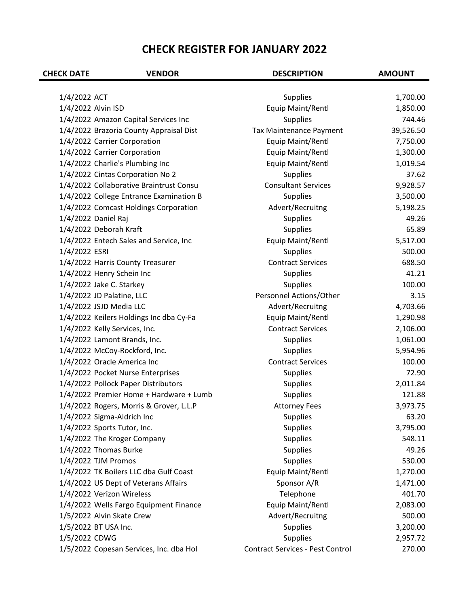| <b>CHECK DATE</b>  | <b>VENDOR</b>                           | <b>DESCRIPTION</b>               | <b>AMOUNT</b> |
|--------------------|-----------------------------------------|----------------------------------|---------------|
|                    |                                         |                                  |               |
| 1/4/2022 ACT       |                                         | Supplies                         | 1,700.00      |
| 1/4/2022 Alvin ISD |                                         | Equip Maint/Rentl                | 1,850.00      |
|                    | 1/4/2022 Amazon Capital Services Inc    | <b>Supplies</b>                  | 744.46        |
|                    | 1/4/2022 Brazoria County Appraisal Dist | Tax Maintenance Payment          | 39,526.50     |
|                    | 1/4/2022 Carrier Corporation            | Equip Maint/Rentl                | 7,750.00      |
|                    | 1/4/2022 Carrier Corporation            | Equip Maint/Rentl                | 1,300.00      |
|                    | 1/4/2022 Charlie's Plumbing Inc         | Equip Maint/Rentl                | 1,019.54      |
|                    | 1/4/2022 Cintas Corporation No 2        | <b>Supplies</b>                  | 37.62         |
|                    | 1/4/2022 Collaborative Braintrust Consu | <b>Consultant Services</b>       | 9,928.57      |
|                    | 1/4/2022 College Entrance Examination B | Supplies                         | 3,500.00      |
|                    | 1/4/2022 Comcast Holdings Corporation   | Advert/Recruitng                 | 5,198.25      |
|                    | 1/4/2022 Daniel Raj                     | <b>Supplies</b>                  | 49.26         |
|                    | 1/4/2022 Deborah Kraft                  | <b>Supplies</b>                  | 65.89         |
|                    | 1/4/2022 Entech Sales and Service, Inc  | Equip Maint/Rentl                | 5,517.00      |
| 1/4/2022 ESRI      |                                         | <b>Supplies</b>                  | 500.00        |
|                    | 1/4/2022 Harris County Treasurer        | <b>Contract Services</b>         | 688.50        |
|                    | 1/4/2022 Henry Schein Inc               | <b>Supplies</b>                  | 41.21         |
|                    | 1/4/2022 Jake C. Starkey                | <b>Supplies</b>                  | 100.00        |
|                    | 1/4/2022 JD Palatine, LLC               | Personnel Actions/Other          | 3.15          |
|                    | 1/4/2022 JSJD Media LLC                 | Advert/Recruitng                 | 4,703.66      |
|                    | 1/4/2022 Keilers Holdings Inc dba Cy-Fa | Equip Maint/Rentl                | 1,290.98      |
|                    | 1/4/2022 Kelly Services, Inc.           | <b>Contract Services</b>         | 2,106.00      |
|                    | 1/4/2022 Lamont Brands, Inc.            | <b>Supplies</b>                  | 1,061.00      |
|                    | 1/4/2022 McCoy-Rockford, Inc.           | Supplies                         | 5,954.96      |
|                    | 1/4/2022 Oracle America Inc             | <b>Contract Services</b>         | 100.00        |
|                    | 1/4/2022 Pocket Nurse Enterprises       | <b>Supplies</b>                  | 72.90         |
|                    | 1/4/2022 Pollock Paper Distributors     | <b>Supplies</b>                  | 2,011.84      |
|                    | 1/4/2022 Premier Home + Hardware + Lumb | Supplies                         | 121.88        |
|                    | 1/4/2022 Rogers, Morris & Grover, L.L.P | <b>Attorney Fees</b>             | 3,973.75      |
|                    | 1/4/2022 Sigma-Aldrich Inc              | <b>Supplies</b>                  | 63.20         |
|                    | 1/4/2022 Sports Tutor, Inc.             | <b>Supplies</b>                  | 3,795.00      |
|                    | 1/4/2022 The Kroger Company             | <b>Supplies</b>                  | 548.11        |
|                    | 1/4/2022 Thomas Burke                   | <b>Supplies</b>                  | 49.26         |
|                    | 1/4/2022 TJM Promos                     | <b>Supplies</b>                  | 530.00        |
|                    | 1/4/2022 TK Boilers LLC dba Gulf Coast  | Equip Maint/Rentl                | 1,270.00      |
|                    | 1/4/2022 US Dept of Veterans Affairs    | Sponsor A/R                      | 1,471.00      |
|                    | 1/4/2022 Verizon Wireless               | Telephone                        | 401.70        |
|                    | 1/4/2022 Wells Fargo Equipment Finance  | Equip Maint/Rentl                | 2,083.00      |
|                    | 1/5/2022 Alvin Skate Crew               | Advert/Recruitng                 | 500.00        |
|                    | 1/5/2022 BT USA Inc.                    | <b>Supplies</b>                  | 3,200.00      |
| 1/5/2022 CDWG      |                                         | Supplies                         | 2,957.72      |
|                    | 1/5/2022 Copesan Services, Inc. dba Hol | Contract Services - Pest Control | 270.00        |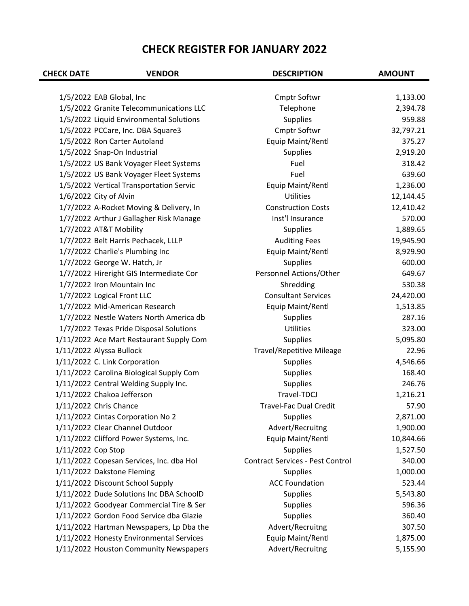| <b>CHECK DATE</b>  | <b>VENDOR</b>                            | <b>DESCRIPTION</b>                      | <b>AMOUNT</b> |
|--------------------|------------------------------------------|-----------------------------------------|---------------|
|                    | 1/5/2022 EAB Global, Inc                 | <b>Cmptr Softwr</b>                     | 1,133.00      |
|                    | 1/5/2022 Granite Telecommunications LLC  | Telephone                               | 2,394.78      |
|                    | 1/5/2022 Liquid Environmental Solutions  | <b>Supplies</b>                         | 959.88        |
|                    | 1/5/2022 PCCare, Inc. DBA Square3        | Cmptr Softwr                            | 32,797.21     |
|                    | 1/5/2022 Ron Carter Autoland             | Equip Maint/Rentl                       | 375.27        |
|                    | 1/5/2022 Snap-On Industrial              | <b>Supplies</b>                         | 2,919.20      |
|                    | 1/5/2022 US Bank Voyager Fleet Systems   | Fuel                                    | 318.42        |
|                    | 1/5/2022 US Bank Voyager Fleet Systems   | Fuel                                    | 639.60        |
|                    | 1/5/2022 Vertical Transportation Servic  | Equip Maint/Rentl                       | 1,236.00      |
|                    | 1/6/2022 City of Alvin                   | <b>Utilities</b>                        | 12,144.45     |
|                    | 1/7/2022 A-Rocket Moving & Delivery, In  | <b>Construction Costs</b>               | 12,410.42     |
|                    | 1/7/2022 Arthur J Gallagher Risk Manage  | Inst'l Insurance                        | 570.00        |
|                    | 1/7/2022 AT&T Mobility                   | <b>Supplies</b>                         | 1,889.65      |
|                    | 1/7/2022 Belt Harris Pechacek, LLLP      | <b>Auditing Fees</b>                    | 19,945.90     |
|                    | 1/7/2022 Charlie's Plumbing Inc          | Equip Maint/Rentl                       | 8,929.90      |
|                    | 1/7/2022 George W. Hatch, Jr             | <b>Supplies</b>                         | 600.00        |
|                    | 1/7/2022 Hireright GIS Intermediate Cor  | Personnel Actions/Other                 | 649.67        |
|                    | 1/7/2022 Iron Mountain Inc               | Shredding                               | 530.38        |
|                    |                                          | <b>Consultant Services</b>              |               |
|                    | 1/7/2022 Logical Front LLC               |                                         | 24,420.00     |
|                    | 1/7/2022 Mid-American Research           | Equip Maint/Rentl                       | 1,513.85      |
|                    | 1/7/2022 Nestle Waters North America db  | <b>Supplies</b><br><b>Utilities</b>     | 287.16        |
|                    | 1/7/2022 Texas Pride Disposal Solutions  |                                         | 323.00        |
|                    | 1/11/2022 Ace Mart Restaurant Supply Com | <b>Supplies</b>                         | 5,095.80      |
|                    | 1/11/2022 Alyssa Bullock                 | <b>Travel/Repetitive Mileage</b>        | 22.96         |
|                    | 1/11/2022 C. Link Corporation            | <b>Supplies</b>                         | 4,546.66      |
|                    | 1/11/2022 Carolina Biological Supply Com | <b>Supplies</b>                         | 168.40        |
|                    | 1/11/2022 Central Welding Supply Inc.    | <b>Supplies</b>                         | 246.76        |
|                    | 1/11/2022 Chakoa Jefferson               | Travel-TDCJ                             | 1,216.21      |
|                    | 1/11/2022 Chris Chance                   | <b>Travel-Fac Dual Credit</b>           | 57.90         |
|                    | 1/11/2022 Cintas Corporation No 2        | <b>Supplies</b>                         | 2,871.00      |
|                    | 1/11/2022 Clear Channel Outdoor          | Advert/Recruitng                        | 1,900.00      |
|                    | 1/11/2022 Clifford Power Systems, Inc.   | Equip Maint/Rentl                       | 10,844.66     |
| 1/11/2022 Cop Stop |                                          | <b>Supplies</b>                         | 1,527.50      |
|                    | 1/11/2022 Copesan Services, Inc. dba Hol | <b>Contract Services - Pest Control</b> | 340.00        |
|                    | 1/11/2022 Dakstone Fleming               | <b>Supplies</b>                         | 1,000.00      |
|                    | 1/11/2022 Discount School Supply         | <b>ACC Foundation</b>                   | 523.44        |
|                    | 1/11/2022 Dude Solutions Inc DBA SchoolD | <b>Supplies</b>                         | 5,543.80      |
|                    | 1/11/2022 Goodyear Commercial Tire & Ser | <b>Supplies</b>                         | 596.36        |
|                    | 1/11/2022 Gordon Food Service dba Glazie | <b>Supplies</b>                         | 360.40        |
|                    | 1/11/2022 Hartman Newspapers, Lp Dba the | Advert/Recruitng                        | 307.50        |
|                    | 1/11/2022 Honesty Environmental Services | Equip Maint/Rentl                       | 1,875.00      |
|                    | 1/11/2022 Houston Community Newspapers   | Advert/Recruitng                        | 5,155.90      |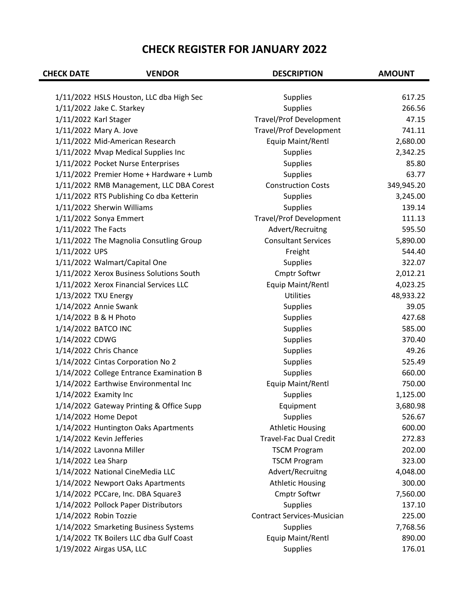| <b>CHECK DATE</b>                 | <b>VENDOR</b>                            | <b>DESCRIPTION</b>                | <b>AMOUNT</b>   |
|-----------------------------------|------------------------------------------|-----------------------------------|-----------------|
|                                   |                                          |                                   |                 |
|                                   | 1/11/2022 HSLS Houston, LLC dba High Sec | <b>Supplies</b>                   | 617.25          |
| 1/11/2022 Jake C. Starkey         |                                          | <b>Supplies</b>                   | 266.56<br>47.15 |
| 1/11/2022 Karl Stager             |                                          | <b>Travel/Prof Development</b>    |                 |
| 1/11/2022 Mary A. Jove            |                                          | <b>Travel/Prof Development</b>    | 741.11          |
| 1/11/2022 Mid-American Research   |                                          | Equip Maint/Rentl                 | 2,680.00        |
|                                   | 1/11/2022 Mvap Medical Supplies Inc      | <b>Supplies</b>                   | 2,342.25        |
|                                   | 1/11/2022 Pocket Nurse Enterprises       | <b>Supplies</b>                   | 85.80           |
|                                   | 1/11/2022 Premier Home + Hardware + Lumb | <b>Supplies</b>                   | 63.77           |
|                                   | 1/11/2022 RMB Management, LLC DBA Corest | <b>Construction Costs</b>         | 349,945.20      |
|                                   | 1/11/2022 RTS Publishing Co dba Ketterin | <b>Supplies</b>                   | 3,245.00        |
| 1/11/2022 Sherwin Williams        |                                          | <b>Supplies</b>                   | 139.14          |
| 1/11/2022 Sonya Emmert            |                                          | <b>Travel/Prof Development</b>    | 111.13          |
| 1/11/2022 The Facts               |                                          | Advert/Recruitng                  | 595.50          |
|                                   | 1/11/2022 The Magnolia Consutling Group  | <b>Consultant Services</b>        | 5,890.00        |
| 1/11/2022 UPS                     |                                          | Freight                           | 544.40          |
| 1/11/2022 Walmart/Capital One     |                                          | <b>Supplies</b>                   | 322.07          |
|                                   | 1/11/2022 Xerox Business Solutions South | Cmptr Softwr                      | 2,012.21        |
|                                   | 1/11/2022 Xerox Financial Services LLC   | Equip Maint/Rentl                 | 4,023.25        |
| 1/13/2022 TXU Energy              |                                          | <b>Utilities</b>                  | 48,933.22       |
| 1/14/2022 Annie Swank             |                                          | <b>Supplies</b>                   | 39.05           |
| 1/14/2022 B & H Photo             |                                          | <b>Supplies</b>                   | 427.68          |
| 1/14/2022 BATCO INC               |                                          | <b>Supplies</b>                   | 585.00          |
| 1/14/2022 CDWG                    |                                          | <b>Supplies</b>                   | 370.40          |
| 1/14/2022 Chris Chance            |                                          | Supplies                          | 49.26           |
| 1/14/2022 Cintas Corporation No 2 |                                          | <b>Supplies</b>                   | 525.49          |
|                                   | 1/14/2022 College Entrance Examination B | Supplies                          | 660.00          |
|                                   | 1/14/2022 Earthwise Environmental Inc    | Equip Maint/Rentl                 | 750.00          |
| 1/14/2022 Examity Inc             |                                          | <b>Supplies</b>                   | 1,125.00        |
|                                   | 1/14/2022 Gateway Printing & Office Supp | Equipment                         | 3,680.98        |
| 1/14/2022 Home Depot              |                                          | <b>Supplies</b>                   | 526.67          |
|                                   | 1/14/2022 Huntington Oaks Apartments     | <b>Athletic Housing</b>           | 600.00          |
| 1/14/2022 Kevin Jefferies         |                                          | <b>Travel-Fac Dual Credit</b>     | 272.83          |
| 1/14/2022 Lavonna Miller          |                                          | <b>TSCM Program</b>               | 202.00          |
| 1/14/2022 Lea Sharp               |                                          | <b>TSCM Program</b>               | 323.00          |
| 1/14/2022 National CineMedia LLC  |                                          | Advert/Recruitng                  | 4,048.00        |
|                                   | 1/14/2022 Newport Oaks Apartments        | <b>Athletic Housing</b>           | 300.00          |
|                                   | 1/14/2022 PCCare, Inc. DBA Square3       | Cmptr Softwr                      | 7,560.00        |
|                                   | 1/14/2022 Pollock Paper Distributors     | <b>Supplies</b>                   | 137.10          |
| 1/14/2022 Robin Tozzie            |                                          | <b>Contract Services-Musician</b> | 225.00          |
|                                   | 1/14/2022 Smarketing Business Systems    | <b>Supplies</b>                   | 7,768.56        |
|                                   | 1/14/2022 TK Boilers LLC dba Gulf Coast  | Equip Maint/Rentl                 | 890.00          |
| 1/19/2022 Airgas USA, LLC         |                                          | Supplies                          | 176.01          |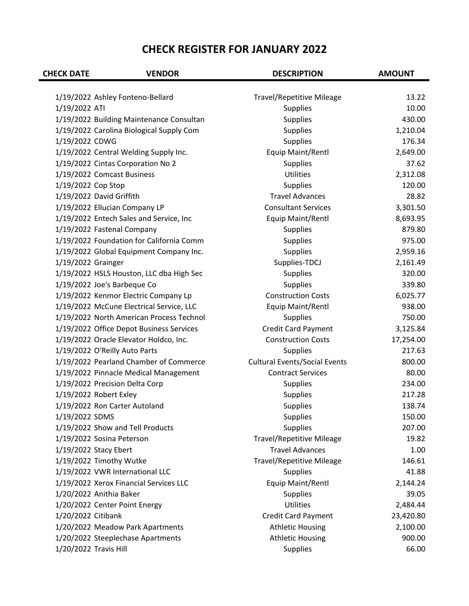| <b>CHECK DATE</b>     | <b>VENDOR</b>                            | <b>DESCRIPTION</b>                   | <b>AMOUNT</b> |
|-----------------------|------------------------------------------|--------------------------------------|---------------|
|                       |                                          |                                      |               |
|                       | 1/19/2022 Ashley Fonteno-Bellard         | <b>Travel/Repetitive Mileage</b>     | 13.22         |
| 1/19/2022 ATI         |                                          | <b>Supplies</b>                      | 10.00         |
|                       | 1/19/2022 Building Maintenance Consultan | <b>Supplies</b>                      | 430.00        |
|                       | 1/19/2022 Carolina Biological Supply Com | <b>Supplies</b>                      | 1,210.04      |
| 1/19/2022 CDWG        |                                          | <b>Supplies</b>                      | 176.34        |
|                       | 1/19/2022 Central Welding Supply Inc.    | Equip Maint/Rentl                    | 2,649.00      |
|                       | 1/19/2022 Cintas Corporation No 2        | <b>Supplies</b>                      | 37.62         |
|                       | 1/19/2022 Comcast Business               | <b>Utilities</b>                     | 2,312.08      |
| 1/19/2022 Cop Stop    |                                          | <b>Supplies</b>                      | 120.00        |
|                       | 1/19/2022 David Griffith                 | <b>Travel Advances</b>               | 28.82         |
|                       | 1/19/2022 Ellucian Company LP            | <b>Consultant Services</b>           | 3,301.50      |
|                       | 1/19/2022 Entech Sales and Service, Inc  | Equip Maint/Rentl                    | 8,693.95      |
|                       | 1/19/2022 Fastenal Company               | <b>Supplies</b>                      | 879.80        |
|                       | 1/19/2022 Foundation for California Comm | Supplies                             | 975.00        |
|                       | 1/19/2022 Global Equipment Company Inc.  | <b>Supplies</b>                      | 2,959.16      |
| 1/19/2022 Grainger    |                                          | Supplies-TDCJ                        | 2,161.49      |
|                       | 1/19/2022 HSLS Houston, LLC dba High Sec | <b>Supplies</b>                      | 320.00        |
|                       | 1/19/2022 Joe's Barbeque Co              | <b>Supplies</b>                      | 339.80        |
|                       | 1/19/2022 Kenmor Electric Company Lp     | <b>Construction Costs</b>            | 6,025.77      |
|                       | 1/19/2022 McCune Electrical Service, LLC | Equip Maint/Rentl                    | 938.00        |
|                       | 1/19/2022 North American Process Technol | <b>Supplies</b>                      | 750.00        |
|                       | 1/19/2022 Office Depot Business Services | <b>Credit Card Payment</b>           | 3,125.84      |
|                       | 1/19/2022 Oracle Elevator Holdco, Inc.   | <b>Construction Costs</b>            | 17,254.00     |
|                       | 1/19/2022 O'Reilly Auto Parts            | Supplies                             | 217.63        |
|                       | 1/19/2022 Pearland Chamber of Commerce   | <b>Cultural Events/Social Events</b> | 800.00        |
|                       | 1/19/2022 Pinnacle Medical Management    | <b>Contract Services</b>             | 80.00         |
|                       | 1/19/2022 Precision Delta Corp           | <b>Supplies</b>                      | 234.00        |
|                       | 1/19/2022 Robert Exley                   | <b>Supplies</b>                      | 217.28        |
|                       | 1/19/2022 Ron Carter Autoland            | <b>Supplies</b>                      | 138.74        |
| 1/19/2022 SDMS        |                                          | <b>Supplies</b>                      | 150.00        |
|                       | 1/19/2022 Show and Tell Products         | <b>Supplies</b>                      | 207.00        |
|                       | 1/19/2022 Sosina Peterson                | <b>Travel/Repetitive Mileage</b>     | 19.82         |
|                       | 1/19/2022 Stacy Ebert                    | <b>Travel Advances</b>               | 1.00          |
|                       | 1/19/2022 Timothy Wutke                  | <b>Travel/Repetitive Mileage</b>     | 146.61        |
|                       | 1/19/2022 VWR International LLC          | <b>Supplies</b>                      | 41.88         |
|                       | 1/19/2022 Xerox Financial Services LLC   | Equip Maint/Rentl                    | 2,144.24      |
|                       | 1/20/2022 Anithia Baker                  | <b>Supplies</b>                      | 39.05         |
|                       | 1/20/2022 Center Point Energy            | <b>Utilities</b>                     | 2,484.44      |
| 1/20/2022 Citibank    |                                          | <b>Credit Card Payment</b>           | 23,420.80     |
|                       | 1/20/2022 Meadow Park Apartments         | <b>Athletic Housing</b>              | 2,100.00      |
|                       | 1/20/2022 Steeplechase Apartments        | <b>Athletic Housing</b>              | 900.00        |
| 1/20/2022 Travis Hill |                                          | <b>Supplies</b>                      | 66.00         |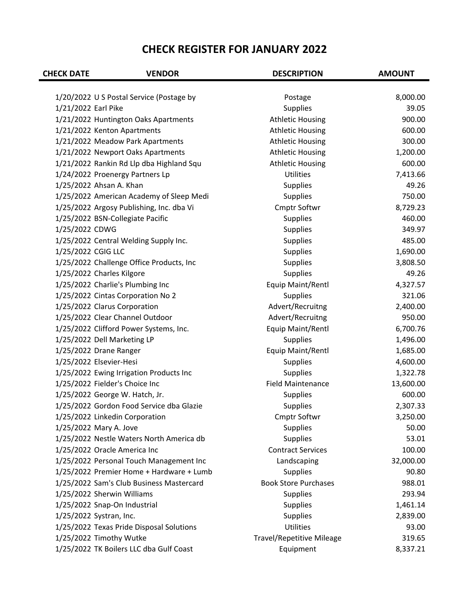| <b>CHECK DATE</b>   | <b>VENDOR</b>                            | <b>DESCRIPTION</b>               | <b>AMOUNT</b> |
|---------------------|------------------------------------------|----------------------------------|---------------|
|                     |                                          |                                  |               |
|                     | 1/20/2022 U S Postal Service (Postage by | Postage                          | 8,000.00      |
| 1/21/2022 Earl Pike |                                          | <b>Supplies</b>                  | 39.05         |
|                     | 1/21/2022 Huntington Oaks Apartments     | <b>Athletic Housing</b>          | 900.00        |
|                     | 1/21/2022 Kenton Apartments              | <b>Athletic Housing</b>          | 600.00        |
|                     | 1/21/2022 Meadow Park Apartments         | <b>Athletic Housing</b>          | 300.00        |
|                     | 1/21/2022 Newport Oaks Apartments        | <b>Athletic Housing</b>          | 1,200.00      |
|                     | 1/21/2022 Rankin Rd Llp dba Highland Squ | <b>Athletic Housing</b>          | 600.00        |
|                     | 1/24/2022 Proenergy Partners Lp          | <b>Utilities</b>                 | 7,413.66      |
|                     | 1/25/2022 Ahsan A. Khan                  | <b>Supplies</b>                  | 49.26         |
|                     | 1/25/2022 American Academy of Sleep Medi | <b>Supplies</b>                  | 750.00        |
|                     | 1/25/2022 Argosy Publishing, Inc. dba Vi | Cmptr Softwr                     | 8,729.23      |
|                     | 1/25/2022 BSN-Collegiate Pacific         | <b>Supplies</b>                  | 460.00        |
| 1/25/2022 CDWG      |                                          | <b>Supplies</b>                  | 349.97        |
|                     | 1/25/2022 Central Welding Supply Inc.    | Supplies                         | 485.00        |
| 1/25/2022 CGIG LLC  |                                          | <b>Supplies</b>                  | 1,690.00      |
|                     | 1/25/2022 Challenge Office Products, Inc | <b>Supplies</b>                  | 3,808.50      |
|                     | 1/25/2022 Charles Kilgore                | <b>Supplies</b>                  | 49.26         |
|                     | 1/25/2022 Charlie's Plumbing Inc         | Equip Maint/Rentl                | 4,327.57      |
|                     | 1/25/2022 Cintas Corporation No 2        | Supplies                         | 321.06        |
|                     | 1/25/2022 Clarus Corporation             | Advert/Recruitng                 | 2,400.00      |
|                     | 1/25/2022 Clear Channel Outdoor          | Advert/Recruitng                 | 950.00        |
|                     | 1/25/2022 Clifford Power Systems, Inc.   | Equip Maint/Rentl                | 6,700.76      |
|                     | 1/25/2022 Dell Marketing LP              | <b>Supplies</b>                  | 1,496.00      |
|                     | 1/25/2022 Drane Ranger                   | Equip Maint/Rentl                | 1,685.00      |
|                     | 1/25/2022 Elsevier-Hesi                  | <b>Supplies</b>                  | 4,600.00      |
|                     | 1/25/2022 Ewing Irrigation Products Inc  | <b>Supplies</b>                  | 1,322.78      |
|                     | 1/25/2022 Fielder's Choice Inc           | <b>Field Maintenance</b>         | 13,600.00     |
|                     | 1/25/2022 George W. Hatch, Jr.           | <b>Supplies</b>                  | 600.00        |
|                     | 1/25/2022 Gordon Food Service dba Glazie | <b>Supplies</b>                  | 2,307.33      |
|                     | 1/25/2022 Linkedin Corporation           | <b>Cmptr Softwr</b>              | 3,250.00      |
|                     | 1/25/2022 Mary A. Jove                   | <b>Supplies</b>                  | 50.00         |
|                     | 1/25/2022 Nestle Waters North America db | <b>Supplies</b>                  | 53.01         |
|                     | 1/25/2022 Oracle America Inc             | <b>Contract Services</b>         | 100.00        |
|                     | 1/25/2022 Personal Touch Management Inc  | Landscaping                      | 32,000.00     |
|                     | 1/25/2022 Premier Home + Hardware + Lumb | <b>Supplies</b>                  | 90.80         |
|                     | 1/25/2022 Sam's Club Business Mastercard | <b>Book Store Purchases</b>      | 988.01        |
|                     | 1/25/2022 Sherwin Williams               | <b>Supplies</b>                  | 293.94        |
|                     | 1/25/2022 Snap-On Industrial             | <b>Supplies</b>                  | 1,461.14      |
|                     | 1/25/2022 Systran, Inc.                  | <b>Supplies</b>                  | 2,839.00      |
|                     | 1/25/2022 Texas Pride Disposal Solutions | Utilities                        | 93.00         |
|                     | 1/25/2022 Timothy Wutke                  | <b>Travel/Repetitive Mileage</b> | 319.65        |
|                     | 1/25/2022 TK Boilers LLC dba Gulf Coast  | Equipment                        | 8,337.21      |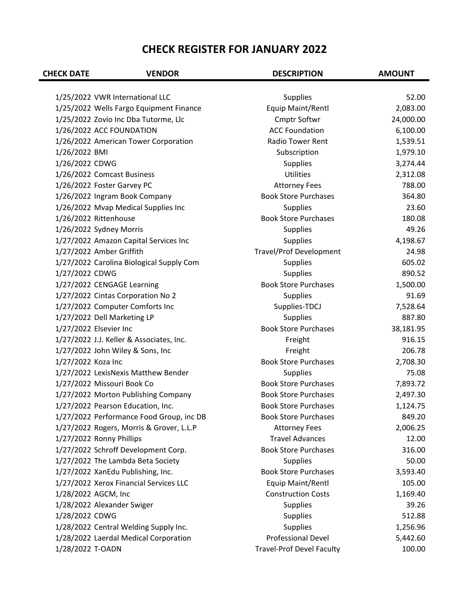| <b>CHECK DATE</b>  | <b>VENDOR</b>                            | <b>DESCRIPTION</b>               | <b>AMOUNT</b> |
|--------------------|------------------------------------------|----------------------------------|---------------|
|                    |                                          |                                  |               |
|                    | 1/25/2022 VWR International LLC          | <b>Supplies</b>                  | 52.00         |
|                    | 1/25/2022 Wells Fargo Equipment Finance  | Equip Maint/Rentl                | 2,083.00      |
|                    | 1/25/2022 Zovio Inc Dba Tutorme, Llc     | Cmptr Softwr                     | 24,000.00     |
|                    | 1/26/2022 ACC FOUNDATION                 | <b>ACC Foundation</b>            | 6,100.00      |
|                    | 1/26/2022 American Tower Corporation     | <b>Radio Tower Rent</b>          | 1,539.51      |
| 1/26/2022 BMI      |                                          | Subscription                     | 1,979.10      |
| 1/26/2022 CDWG     |                                          | <b>Supplies</b>                  | 3,274.44      |
|                    | 1/26/2022 Comcast Business               | <b>Utilities</b>                 | 2,312.08      |
|                    | 1/26/2022 Foster Garvey PC               | <b>Attorney Fees</b>             | 788.00        |
|                    | 1/26/2022 Ingram Book Company            | <b>Book Store Purchases</b>      | 364.80        |
|                    | 1/26/2022 Mvap Medical Supplies Inc      | <b>Supplies</b>                  | 23.60         |
|                    | 1/26/2022 Rittenhouse                    | <b>Book Store Purchases</b>      | 180.08        |
|                    | 1/26/2022 Sydney Morris                  | <b>Supplies</b>                  | 49.26         |
|                    | 1/27/2022 Amazon Capital Services Inc    | <b>Supplies</b>                  | 4,198.67      |
|                    | 1/27/2022 Amber Griffith                 | <b>Travel/Prof Development</b>   | 24.98         |
|                    | 1/27/2022 Carolina Biological Supply Com | <b>Supplies</b>                  | 605.02        |
| 1/27/2022 CDWG     |                                          | <b>Supplies</b>                  | 890.52        |
|                    | 1/27/2022 CENGAGE Learning               | <b>Book Store Purchases</b>      | 1,500.00      |
|                    | 1/27/2022 Cintas Corporation No 2        | <b>Supplies</b>                  | 91.69         |
|                    | 1/27/2022 Computer Comforts Inc          | Supplies-TDCJ                    | 7,528.64      |
|                    | 1/27/2022 Dell Marketing LP              | <b>Supplies</b>                  | 887.80        |
|                    | 1/27/2022 Elsevier Inc                   | <b>Book Store Purchases</b>      | 38,181.95     |
|                    | 1/27/2022 J.J. Keller & Associates, Inc. | Freight                          | 916.15        |
|                    | 1/27/2022 John Wiley & Sons, Inc         | Freight                          | 206.78        |
| 1/27/2022 Koza Inc |                                          | <b>Book Store Purchases</b>      | 2,708.30      |
|                    | 1/27/2022 LexisNexis Matthew Bender      | <b>Supplies</b>                  | 75.08         |
|                    | 1/27/2022 Missouri Book Co               | <b>Book Store Purchases</b>      | 7,893.72      |
|                    | 1/27/2022 Morton Publishing Company      | <b>Book Store Purchases</b>      | 2,497.30      |
|                    | 1/27/2022 Pearson Education, Inc.        | <b>Book Store Purchases</b>      | 1,124.75      |
|                    | 1/27/2022 Performance Food Group, inc DB | <b>Book Store Purchases</b>      | 849.20        |
|                    | 1/27/2022 Rogers, Morris & Grover, L.L.P | <b>Attorney Fees</b>             | 2,006.25      |
|                    | 1/27/2022 Ronny Phillips                 | <b>Travel Advances</b>           | 12.00         |
|                    | 1/27/2022 Schroff Development Corp.      | <b>Book Store Purchases</b>      | 316.00        |
|                    | 1/27/2022 The Lambda Beta Society        | <b>Supplies</b>                  | 50.00         |
|                    | 1/27/2022 XanEdu Publishing, Inc.        | <b>Book Store Purchases</b>      | 3,593.40      |
|                    | 1/27/2022 Xerox Financial Services LLC   | Equip Maint/Rentl                | 105.00        |
|                    | 1/28/2022 AGCM, Inc                      | <b>Construction Costs</b>        | 1,169.40      |
|                    | 1/28/2022 Alexander Swiger               | <b>Supplies</b>                  | 39.26         |
| 1/28/2022 CDWG     |                                          | <b>Supplies</b>                  | 512.88        |
|                    | 1/28/2022 Central Welding Supply Inc.    | <b>Supplies</b>                  | 1,256.96      |
|                    | 1/28/2022 Laerdal Medical Corporation    | <b>Professional Devel</b>        | 5,442.60      |
| 1/28/2022 T-OADN   |                                          | <b>Travel-Prof Devel Faculty</b> | 100.00        |